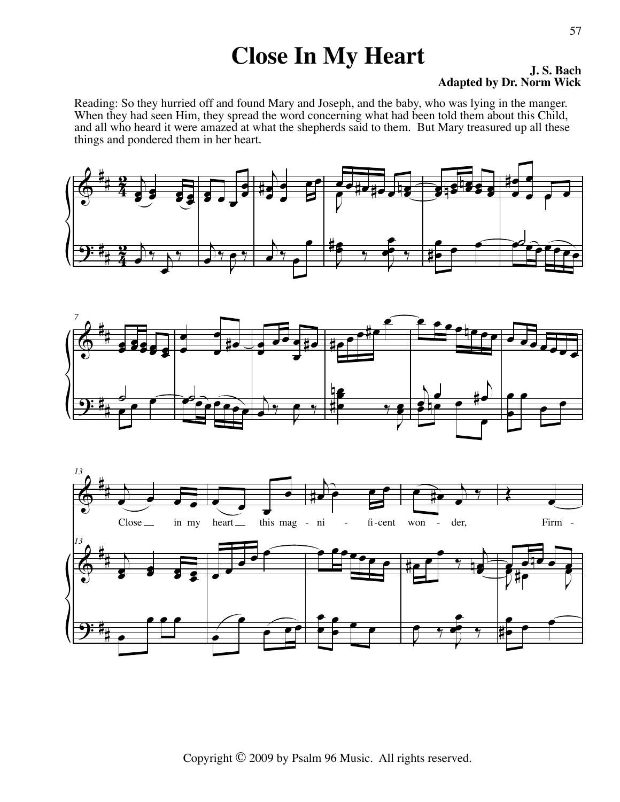## **Close In My Heart J. S. Bach**

## **Adapted by Dr. Norm Wick**

Reading: So they hurried off and found Mary and Joseph, and the baby, who was lying in the manger. When they had seen Him, they spread the word concerning what had been told them about this Child, and all who heard it were amazed at what the shepherds said to them. But Mary treasured up all these things and pondered them in her heart.





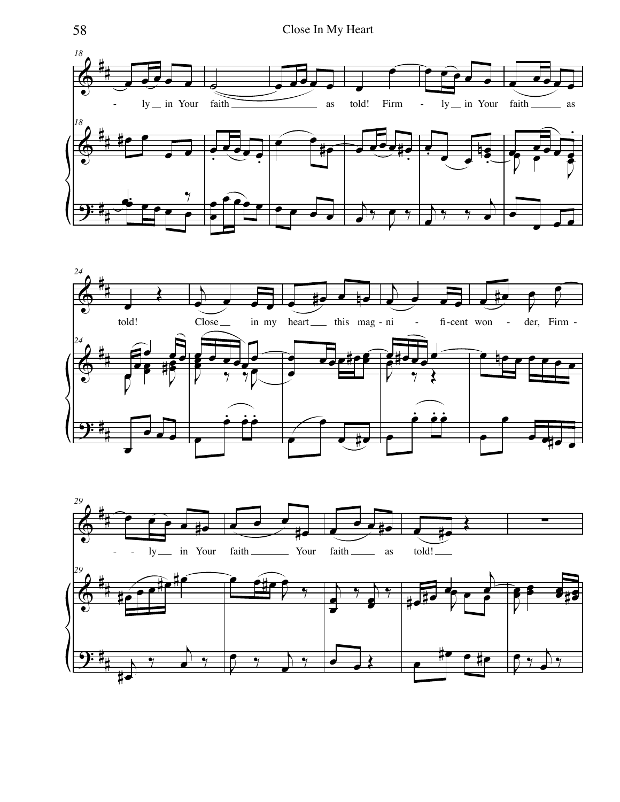



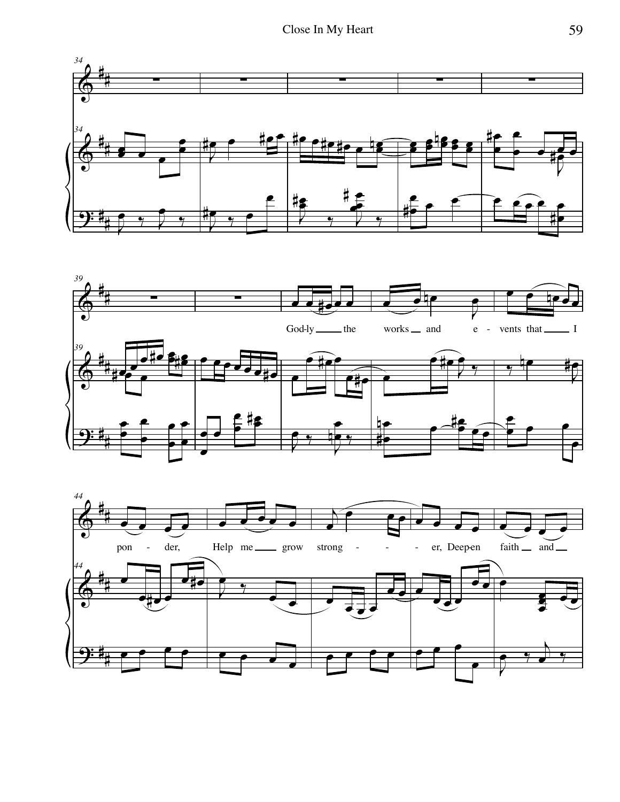



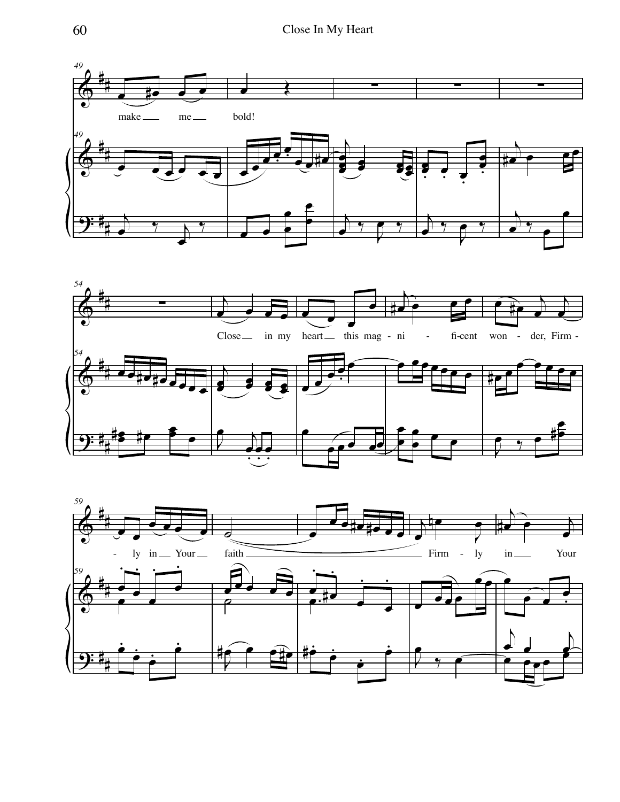